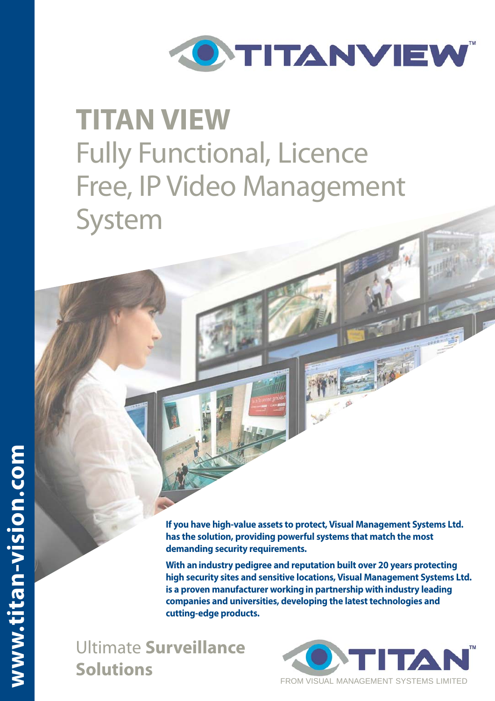

# **TITAN VIEW**  Fully Functional, Licence Free, IP Video Management System

**If you have high-value assets to protect, Visual Management Systems Ltd. has the solution, providing powerful systems that match the most demanding security requirements.**

**With an industry pedigree and reputation built over 20 years protecting high security sites and sensitive locations, Visual Management Systems Ltd. is a proven manufacturer working in partnership with industry leading companies and universities, developing the latest technologies and cutting-edge products.** 

Ultimate **Surveillance Solutions**